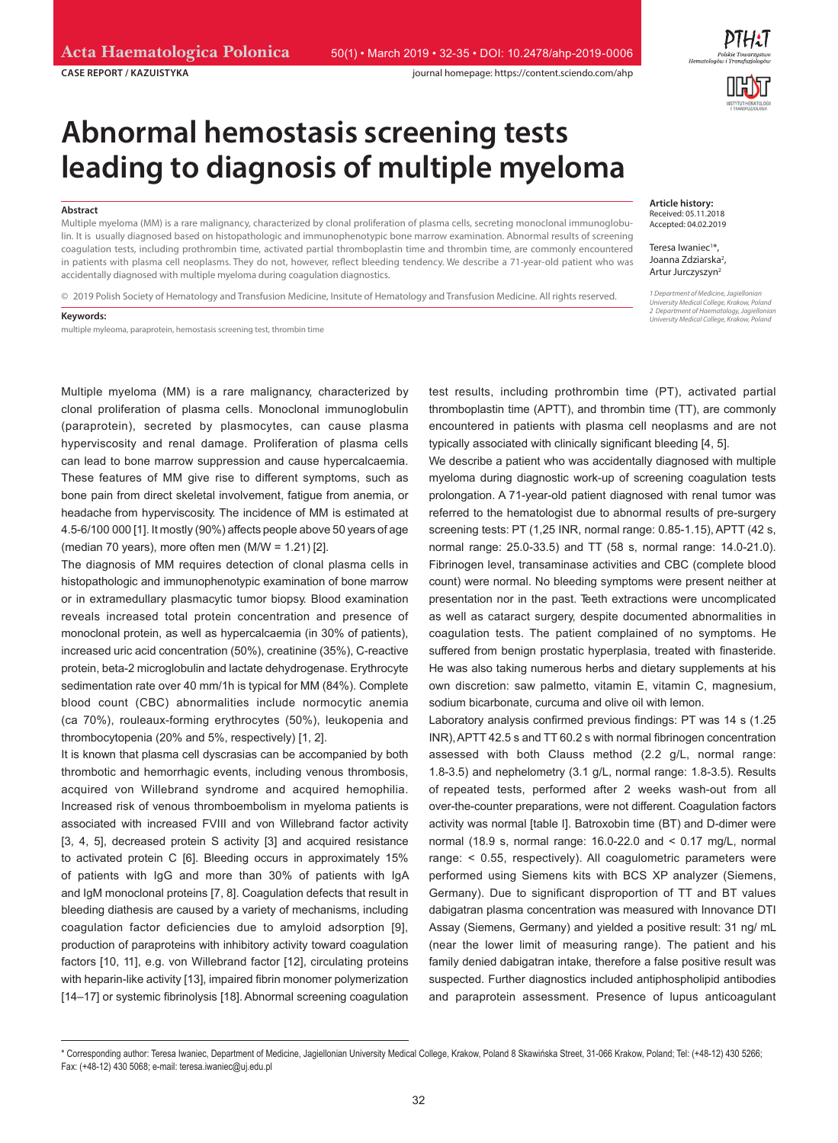**CASE REPORT / KAZUISTYKA** journal homepage: https://content.sciendo.com/ahp



# **Abnormal hemostasis screening tests leading to diagnosis of multiple myeloma**

#### **Abstract**

Multiple myeloma (MM) is a rare malignancy, characterized by clonal proliferation of plasma cells, secreting monoclonal immunoglobulin. It is usually diagnosed based on histopathologic and immunophenotypic bone marrow examination. Abnormal results of screening coagulation tests, including prothrombin time, activated partial thromboplastin time and thrombin time, are commonly encountered in patients with plasma cell neoplasms. They do not, however, reflect bleeding tendency. We describe a 71-year-old patient who was accidentally diagnosed with multiple myeloma during coagulation diagnostics.

© 2019 Polish Society of Hematology and Transfusion Medicine, Insitute of Hematology and Transfusion Medicine. All rights reserved.

#### **Keywords:**

multiple myleoma, paraprotein, hemostasis screening test, thrombin time

Multiple myeloma (MM) is a rare malignancy, characterized by clonal proliferation of plasma cells. Monoclonal immunoglobulin (paraprotein), secreted by plasmocytes, can cause plasma hyperviscosity and renal damage. Proliferation of plasma cells can lead to bone marrow suppression and cause hypercalcaemia. These features of MM give rise to different symptoms, such as bone pain from direct skeletal involvement, fatigue from anemia, or headache from hyperviscosity. The incidence of MM is estimated at 4.5‑6/100 000 [1]. It mostly (90%) affects people above 50 years of age (median 70 years), more often men  $(M/W = 1.21)$  [2].

The diagnosis of MM requires detection of clonal plasma cells in histopathologic and immunophenotypic examination of bone marrow or in extramedullary plasmacytic tumor biopsy. Blood examination reveals increased total protein concentration and presence of monoclonal protein, as well as hypercalcaemia (in 30% of patients), increased uric acid concentration (50%), creatinine (35%), C-reactive protein, beta-2 microglobulin and lactate dehydrogenase. Erythrocyte sedimentation rate over 40 mm/1h is typical for MM (84%). Complete blood count (CBC) abnormalities include normocytic anemia (ca 70%), rouleaux-forming erythrocytes (50%), leukopenia and thrombocytopenia (20% and 5%, respectively) [1, 2].

It is known that plasma cell dyscrasias can be accompanied by both thrombotic and hemorrhagic events, including venous thrombosis, acquired von Willebrand syndrome and acquired hemophilia. Increased risk of venous thromboembolism in myeloma patients is associated with increased FVIII and von Willebrand factor activity [3, 4, 5], decreased protein S activity [3] and acquired resistance to activated protein C [6]. Bleeding occurs in approximately 15% of patients with IgG and more than 30% of patients with IgA and IgM monoclonal proteins [7, 8]. Coagulation defects that result in bleeding diathesis are caused by a variety of mechanisms, including coagulation factor deficiencies due to amyloid adsorption [9], production of paraproteins with inhibitory activity toward coagulation factors [10, 11], e.g. von Willebrand factor [12], circulating proteins with heparin-like activity [13], impaired fibrin monomer polymerization [14–17] or systemic fibrinolysis [18]. Abnormal screening coagulation **Article history:** Received: 05.11.2018 Accepted: 04.02.2019

Teresa Iwaniec<sup>1\*</sup>, Joanna Zdziarska<sup>2</sup>, Artur Jurczyszyn2

*1 Department of Medicine, Jagiellonian University Medical College, Krakow, Poland 2 Department of Haematology, Jagiellonian University Medical College, Krakow, Poland*

test results, including prothrombin time (PT), activated partial thromboplastin time (APTT), and thrombin time (TT), are commonly encountered in patients with plasma cell neoplasms and are not typically associated with clinically significant bleeding [4, 5].

We describe a patient who was accidentally diagnosed with multiple myeloma during diagnostic work-up of screening coagulation tests prolongation. A 71-year-old patient diagnosed with renal tumor was referred to the hematologist due to abnormal results of pre-surgery screening tests: PT (1,25 INR, normal range: 0.85-1.15), APTT (42 s, normal range: 25.0-33.5) and TT (58 s, normal range: 14.0-21.0). Fibrinogen level, transaminase activities and CBC (complete blood count) were normal. No bleeding symptoms were present neither at presentation nor in the past. Teeth extractions were uncomplicated as well as cataract surgery, despite documented abnormalities in coagulation tests. The patient complained of no symptoms. He suffered from benign prostatic hyperplasia, treated with finasteride. He was also taking numerous herbs and dietary supplements at his own discretion: saw palmetto, vitamin E, vitamin C, magnesium, sodium bicarbonate, curcuma and olive oil with lemon.

Laboratory analysis confirmed previous findings: PT was 14 s (1.25 INR), APTT 42.5 s and TT 60.2 s with normal fibrinogen concentration assessed with both Clauss method (2.2 g/L, normal range: 1.8-3.5) and nephelometry (3.1 g/L, normal range: 1.8-3.5). Results of repeated tests, performed after 2 weeks wash-out from all over-the-counter preparations, were not different. Coagulation factors activity was normal [table I]. Batroxobin time (BT) and D-dimer were normal (18.9 s, normal range: 16.0-22.0 and < 0.17 mg/L, normal range: < 0.55, respectively). All coagulometric parameters were performed using Siemens kits with BCS XP analyzer (Siemens, Germany). Due to significant disproportion of TT and BT values dabigatran plasma concentration was measured with Innovance DTI Assay (Siemens, Germany) and yielded a positive result: 31 ng/ mL (near the lower limit of measuring range). The patient and his family denied dabigatran intake, therefore a false positive result was suspected. Further diagnostics included antiphospholipid antibodies and paraprotein assessment. Presence of lupus anticoagulant

<sup>\*</sup> Corresponding author: Teresa Iwaniec, Department of Medicine, Jagiellonian University Medical College, Krakow, Poland 8 Skawińska Street, 31-066 Krakow, Poland; Tel: (+48-12) 430 5266; Fax: (+48-12) 430 5068; e-mail: teresa.iwaniec@uj.edu.pl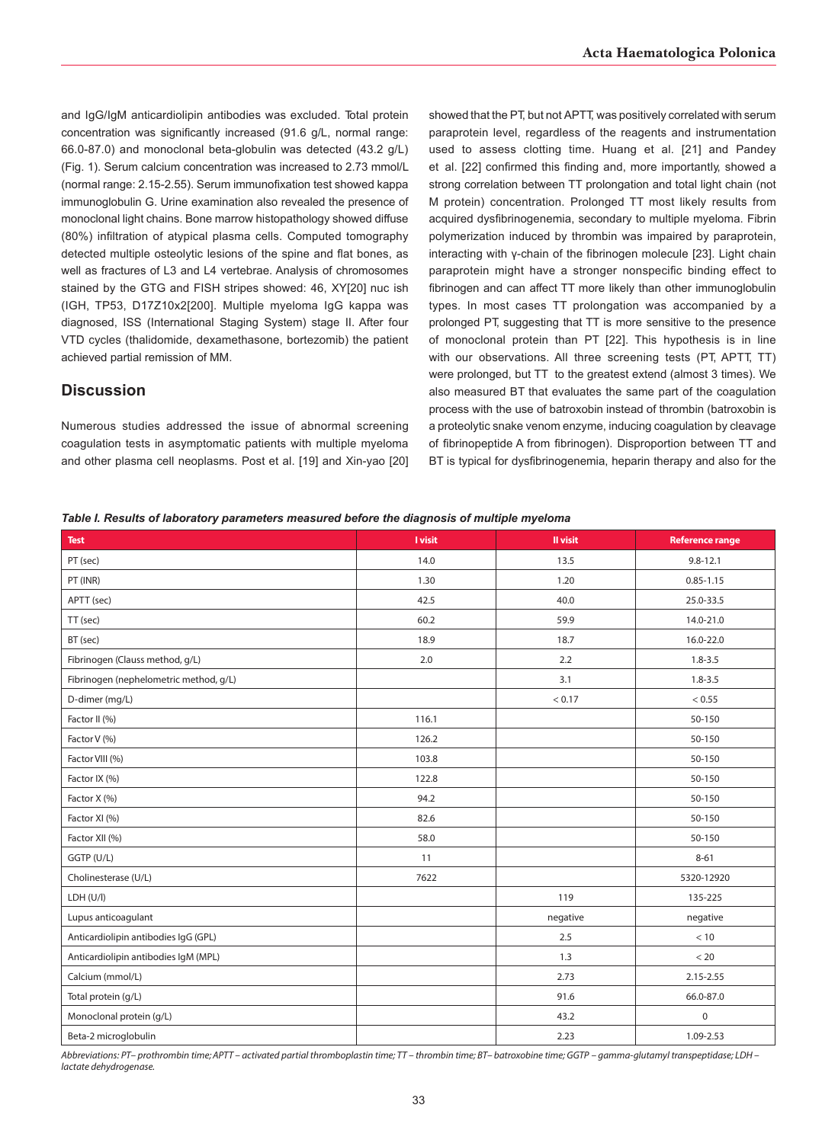and IgG/IgM anticardiolipin antibodies was excluded. Total protein concentration was significantly increased (91.6 g/L, normal range: 66.0-87.0) and monoclonal beta-globulin was detected (43.2 g/L) (Fig. 1). Serum calcium concentration was increased to 2.73 mmol/L (normal range: 2.15-2.55). Serum immunofixation test showed kappa immunoglobulin G. Urine examination also revealed the presence of monoclonal light chains. Bone marrow histopathology showed diffuse (80%) infiltration of atypical plasma cells. Computed tomography detected multiple osteolytic lesions of the spine and flat bones, as well as fractures of L3 and L4 vertebrae. Analysis of chromosomes stained by the GTG and FISH stripes showed: 46, XY[20] nuc ish (IGH, TP53, D17Z10x2[200]. Multiple myeloma IgG kappa was diagnosed, ISS (International Staging System) stage II. After four VTD cycles (thalidomide, dexamethasone, bortezomib) the patient achieved partial remission of MM.

# **Discussion**

Numerous studies addressed the issue of abnormal screening coagulation tests in asymptomatic patients with multiple myeloma and other plasma cell neoplasms. Post et al. [19] and Xin-yao [20] showed that the PT, but not APTT, was positively correlated with serum paraprotein level, regardless of the reagents and instrumentation used to assess clotting time. Huang et al. [21] and Pandey et al. [22] confirmed this finding and, more importantly, showed a strong correlation between TT prolongation and total light chain (not M protein) concentration. Prolonged TT most likely results from acquired dysfibrinogenemia, secondary to multiple myeloma. Fibrin polymerization induced by thrombin was impaired by paraprotein, interacting with γ-chain of the fibrinogen molecule [23]. Light chain paraprotein might have a stronger nonspecific binding effect to fibrinogen and can affect TT more likely than other immunoglobulin types. In most cases TT prolongation was accompanied by a prolonged PT, suggesting that TT is more sensitive to the presence of monoclonal protein than PT [22]. This hypothesis is in line with our observations. All three screening tests (PT, APTT, TT) were prolonged, but TT to the greatest extend (almost 3 times). We also measured BT that evaluates the same part of the coagulation process with the use of batroxobin instead of thrombin (batroxobin is a proteolytic snake venom enzyme, inducing coagulation by cleavage of fibrinopeptide A from fibrinogen). Disproportion between TT and BT is typical for dysfibrinogenemia, heparin therapy and also for the

#### *Table I. Results of laboratory parameters measured before the diagnosis of multiple myeloma*

| Test                                   | <b>I</b> visit | Il visit | <b>Reference range</b> |
|----------------------------------------|----------------|----------|------------------------|
| PT (sec)                               | 14.0           | 13.5     | $9.8 - 12.1$           |
| PT (INR)                               | 1.30           | 1.20     | $0.85 - 1.15$          |
| APTT (sec)                             | 42.5           | 40.0     | 25.0-33.5              |
| TT (sec)                               | 60.2           | 59.9     | 14.0-21.0              |
| BT (sec)                               | 18.9           | 18.7     | 16.0-22.0              |
| Fibrinogen (Clauss method, g/L)        | 2.0            | 2.2      | $1.8 - 3.5$            |
| Fibrinogen (nephelometric method, g/L) |                | 3.1      | $1.8 - 3.5$            |
| D-dimer (mg/L)                         |                | < 0.17   | < 0.55                 |
| Factor II (%)                          | 116.1          |          | 50-150                 |
| Factor V (%)                           | 126.2          |          | 50-150                 |
| Factor VIII (%)                        | 103.8          |          | 50-150                 |
| Factor IX (%)                          | 122.8          |          | 50-150                 |
| Factor X (%)                           | 94.2           |          | 50-150                 |
| Factor XI (%)                          | 82.6           |          | 50-150                 |
| Factor XII (%)                         | 58.0           |          | 50-150                 |
| GGTP (U/L)                             | 11             |          | $8 - 61$               |
| Cholinesterase (U/L)                   | 7622           |          | 5320-12920             |
| LDH (U/I)                              |                | 119      | 135-225                |
| Lupus anticoagulant                    |                | negative | negative               |
| Anticardiolipin antibodies IgG (GPL)   |                | 2.5      | $<10$                  |
| Anticardiolipin antibodies IgM (MPL)   |                | 1.3      | < 20                   |
| Calcium (mmol/L)                       |                | 2.73     | 2.15-2.55              |
| Total protein (g/L)                    |                | 91.6     | 66.0-87.0              |
| Monoclonal protein (g/L)               |                | 43.2     | 0                      |
| Beta-2 microglobulin                   |                | 2.23     | 1.09-2.53              |

*Abbreviations: PT – prothrombin time; APTT – activated partial thromboplastin time; TT – thrombin time; BT – batroxobine time; GGTP – gamma-glutamyl transpeptidase; LDH – lactate dehydrogenase.*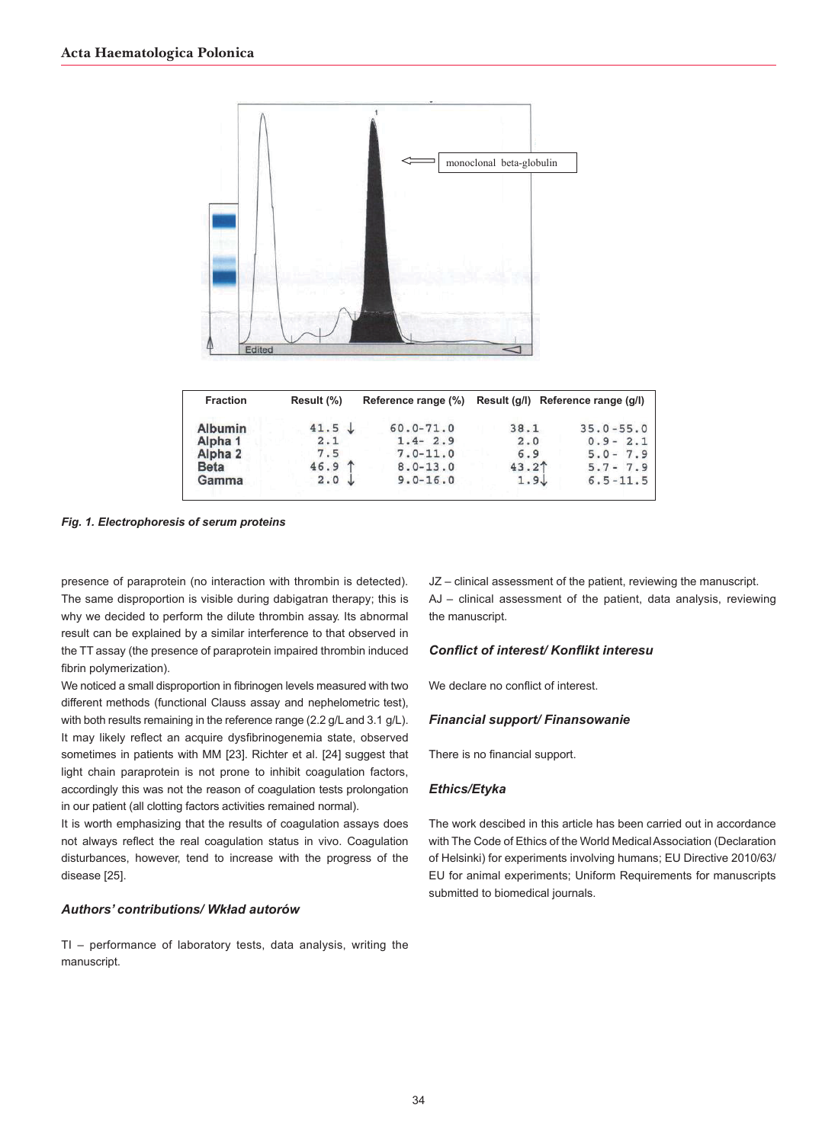

| <b>Fraction</b>    | Result (%)        |               | Reference range (%) Result (g/l) Reference range (g/l) |               |
|--------------------|-------------------|---------------|--------------------------------------------------------|---------------|
| <b>Albumin</b>     | $41.5 \downarrow$ | $60.0 - 71.0$ | 38.1                                                   | $35.0 - 55.0$ |
| Alpha <sub>1</sub> | 2.1               | $1.4 - 2.9$   | 2.0                                                    | $0.9 - 2.1$   |
| Alpha <sub>2</sub> | 7.5               | $7.0 - 11.0$  | 6.9                                                    | $5.0 - 7.9$   |
| <b>Beta</b>        | $46.9$ 1          | $8.0 - 13.0$  | 43.2 <sup>†</sup>                                      | $5.7 - 7.9$   |
| Gamma              | 2.0               | $9.0 - 16.0$  | 1.9                                                    | $6.5 - 11.5$  |
|                    |                   |               |                                                        |               |

*Fig. 1. Electrophoresis of serum proteins*

presence of paraprotein (no interaction with thrombin is detected). The same disproportion is visible during dabigatran therapy; this is why we decided to perform the dilute thrombin assay. Its abnormal result can be explained by a similar interference to that observed in the TT assay (the presence of paraprotein impaired thrombin induced fibrin polymerization).

We noticed a small disproportion in fibrinogen levels measured with two different methods (functional Clauss assay and nephelometric test), with both results remaining in the reference range (2.2 g/L and 3.1 g/L). It may likely reflect an acquire dysfibrinogenemia state, observed sometimes in patients with MM [23]. Richter et al. [24] suggest that light chain paraprotein is not prone to inhibit coagulation factors, accordingly this was not the reason of coagulation tests prolongation in our patient (all clotting factors activities remained normal).

It is worth emphasizing that the results of coagulation assays does not always reflect the real coagulation status in vivo. Coagulation disturbances, however, tend to increase with the progress of the disease [25].

## *Authors' contributions/ Wkład autorów*

TI – performance of laboratory tests, data analysis, writing the manuscript.

JZ – clinical assessment of the patient, reviewing the manuscript. AJ – clinical assessment of the patient, data analysis, reviewing the manuscript.

#### *Conflict of interest/ Konflikt interesu*

We declare no conflict of interest.

## *Financial support/ Finansowanie*

There is no financial support.

## *Ethics/Etyka*

The work descibed in this article has been carried out in accordance with The Code of Ethics of the World Medical Association (Declaration of Helsinki) for experiments involving humans; EU Directive 2010/63/ EU for animal experiments; Uniform Requirements for manuscripts submitted to biomedical journals.